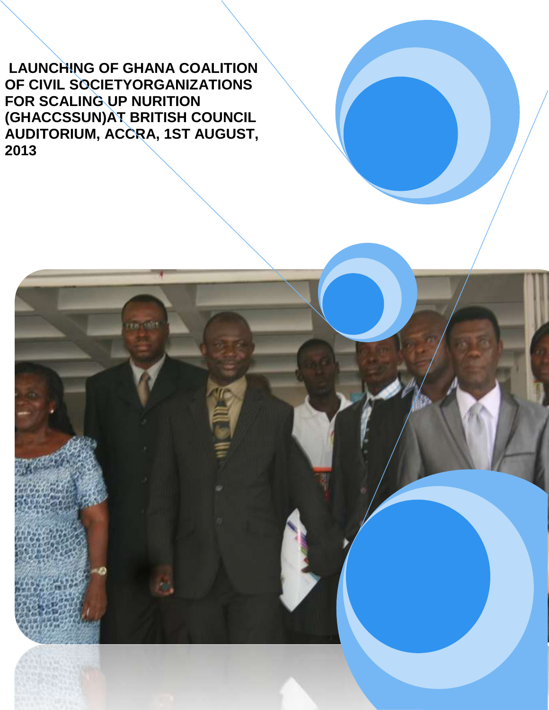**LAUNCHING OF GHANA COALITION OF CIVIL SOCIETYORGANIZATIONS FOR SCALING UP NURITION (GHACCSSUN)AT BRITISH COUNCIL AUDITORIUM, ACCRA, 1ST AUGUST, 2013**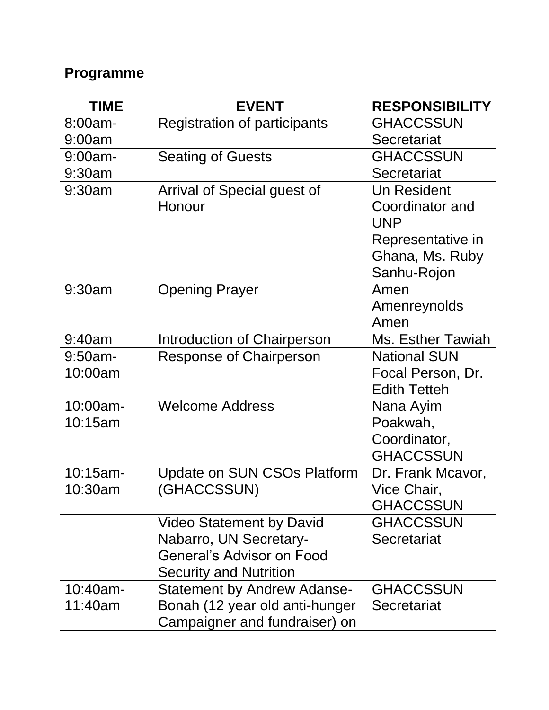# **Programme**

| <b>TIME</b> | <b>EVENT</b>                        | <b>RESPONSIBILITY</b>    |
|-------------|-------------------------------------|--------------------------|
| 8:00am-     | <b>Registration of participants</b> | <b>GHACCSSUN</b>         |
| 9:00am      |                                     | Secretariat              |
| $9:00$ am-  | <b>Seating of Guests</b>            | <b>GHACCSSUN</b>         |
| 9:30am      |                                     | Secretariat              |
| 9:30am      | Arrival of Special guest of         | <b>Un Resident</b>       |
|             | Honour                              | Coordinator and          |
|             |                                     | <b>UNP</b>               |
|             |                                     | Representative in        |
|             |                                     | Ghana, Ms. Ruby          |
|             |                                     | Sanhu-Rojon              |
| 9:30am      | <b>Opening Prayer</b>               | Amen                     |
|             |                                     | Amenreynolds             |
|             |                                     | Amen                     |
| 9:40am      | Introduction of Chairperson         | <b>Ms. Esther Tawiah</b> |
| $9:50$ am-  | <b>Response of Chairperson</b>      | <b>National SUN</b>      |
| 10:00am     |                                     | Focal Person, Dr.        |
|             |                                     | <b>Edith Tetteh</b>      |
| 10:00am-    | <b>Welcome Address</b>              | Nana Ayim                |
| 10:15am     |                                     | Poakwah,                 |
|             |                                     | Coordinator,             |
|             |                                     | <b>GHACCSSUN</b>         |
| $10:15$ am- | <b>Update on SUN CSOs Platform</b>  | Dr. Frank Mcavor,        |
| 10:30am     | (GHACCSSUN)                         | Vice Chair,              |
|             |                                     | <b>GHACCSSUN</b>         |
|             | <b>Video Statement by David</b>     | <b>GHACCSSUN</b>         |
|             | Nabarro, UN Secretary-              | Secretariat              |
|             | <b>General's Advisor on Food</b>    |                          |
|             | <b>Security and Nutrition</b>       |                          |
| 10:40am-    | <b>Statement by Andrew Adanse-</b>  | <b>GHACCSSUN</b>         |
| 11:40am     | Bonah (12 year old anti-hunger      | Secretariat              |
|             | Campaigner and fundraiser) on       |                          |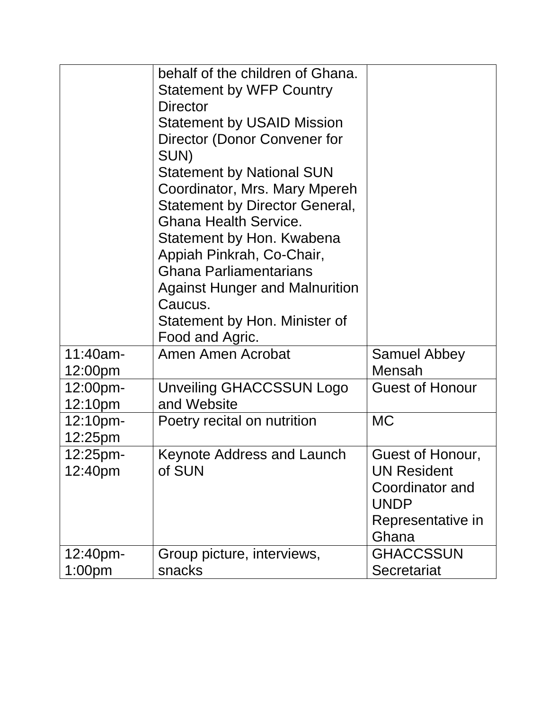|                                | behalf of the children of Ghana.<br><b>Statement by WFP Country</b><br>Director<br><b>Statement by USAID Mission</b><br>Director (Donor Convener for<br>SUN)<br><b>Statement by National SUN</b><br>Coordinator, Mrs. Mary Mpereh<br><b>Statement by Director General,</b><br><b>Ghana Health Service.</b><br>Statement by Hon. Kwabena<br>Appiah Pinkrah, Co-Chair,<br><b>Ghana Parliamentarians</b><br><b>Against Hunger and Malnurition</b><br>Caucus.<br>Statement by Hon. Minister of<br>Food and Agric. |                                                                                                        |
|--------------------------------|---------------------------------------------------------------------------------------------------------------------------------------------------------------------------------------------------------------------------------------------------------------------------------------------------------------------------------------------------------------------------------------------------------------------------------------------------------------------------------------------------------------|--------------------------------------------------------------------------------------------------------|
| 11:40am-<br>12:00pm            | Amen Amen Acrobat                                                                                                                                                                                                                                                                                                                                                                                                                                                                                             | <b>Samuel Abbey</b><br><b>Mensah</b>                                                                   |
| 12:00pm-<br>12:10pm            | Unveiling GHACCSSUN Logo<br>and Website                                                                                                                                                                                                                                                                                                                                                                                                                                                                       | <b>Guest of Honour</b>                                                                                 |
| 12:10 <sub>pm</sub><br>12:25pm | Poetry recital on nutrition                                                                                                                                                                                                                                                                                                                                                                                                                                                                                   | <b>MC</b>                                                                                              |
| $12:25$ pm-<br>12:40pm         | <b>Keynote Address and Launch</b><br>of SUN                                                                                                                                                                                                                                                                                                                                                                                                                                                                   | Guest of Honour,<br><b>UN Resident</b><br>Coordinator and<br><b>UNDP</b><br>Representative in<br>Ghana |
| 12:40pm-<br>1:00pm             | Group picture, interviews,<br>snacks                                                                                                                                                                                                                                                                                                                                                                                                                                                                          | <b>GHACCSSUN</b><br>Secretariat                                                                        |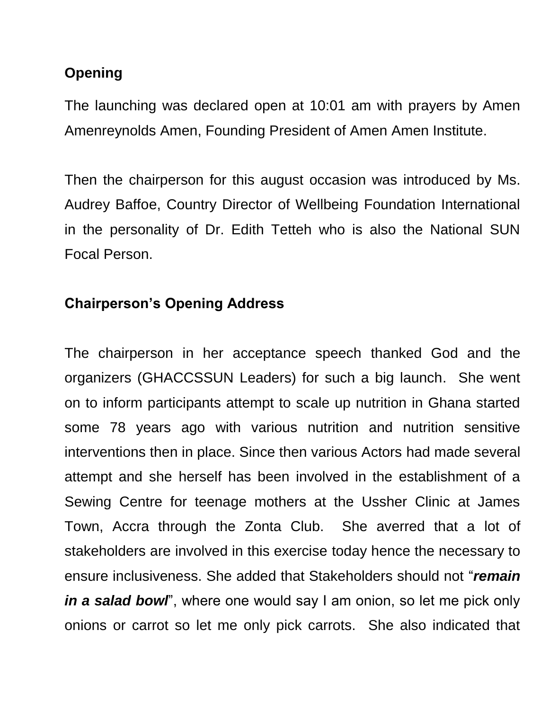## **Opening**

The launching was declared open at 10:01 am with prayers by Amen Amenreynolds Amen, Founding President of Amen Amen Institute.

Then the chairperson for this august occasion was introduced by Ms. Audrey Baffoe, Country Director of Wellbeing Foundation International in the personality of Dr. Edith Tetteh who is also the National SUN Focal Person.

## **Chairperson's Opening Address**

The chairperson in her acceptance speech thanked God and the organizers (GHACCSSUN Leaders) for such a big launch. She went on to inform participants attempt to scale up nutrition in Ghana started some 78 years ago with various nutrition and nutrition sensitive interventions then in place. Since then various Actors had made several attempt and she herself has been involved in the establishment of a Sewing Centre for teenage mothers at the Ussher Clinic at James Town, Accra through the Zonta Club. She averred that a lot of stakeholders are involved in this exercise today hence the necessary to ensure inclusiveness. She added that Stakeholders should not "*remain in a salad bowl*", where one would say I am onion, so let me pick only onions or carrot so let me only pick carrots. She also indicated that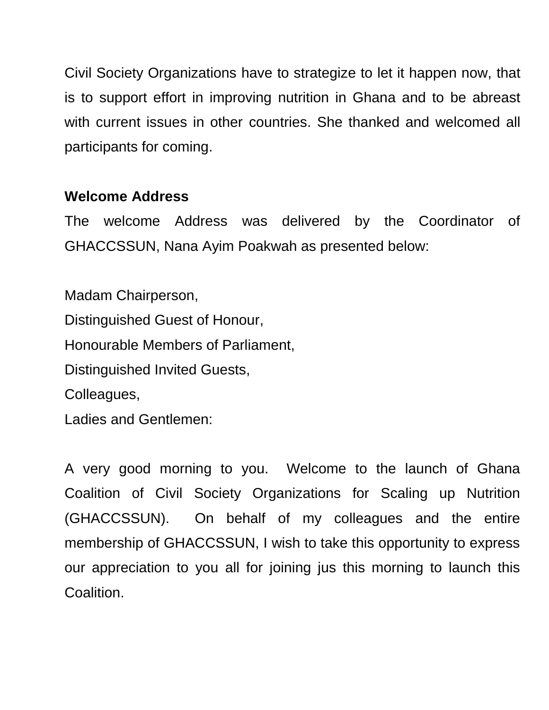Civil Society Organizations have to strategize to let it happen now, that is to support effort in improving nutrition in Ghana and to be abreast with current issues in other countries. She thanked and welcomed all participants for coming.

## **Welcome Address**

The welcome Address was delivered by the Coordinator of GHACCSSUN, Nana Ayim Poakwah as presented below:

Madam Chairperson, Distinguished Guest of Honour, Honourable Members of Parliament, Distinguished Invited Guests, Colleagues, Ladies and Gentlemen:

A very good morning to you. Welcome to the launch of Ghana Coalition of Civil Society Organizations for Scaling up Nutrition (GHACCSSUN). On behalf of my colleagues and the entire membership of GHACCSSUN, I wish to take this opportunity to express our appreciation to you all for joining jus this morning to launch this Coalition.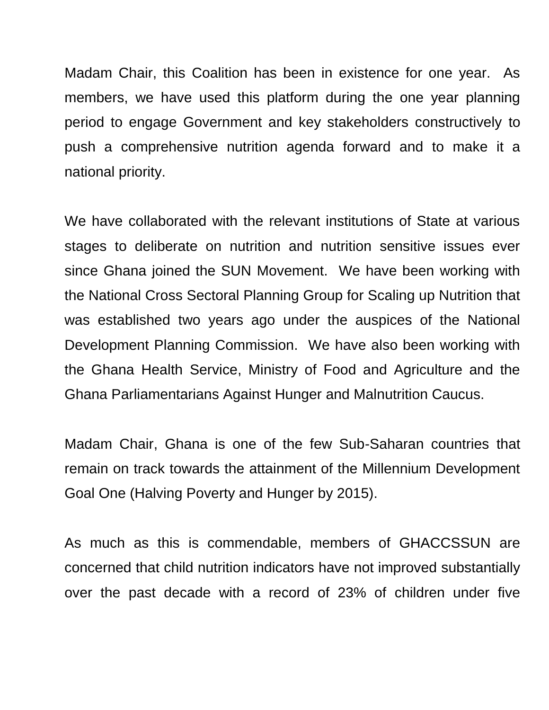Madam Chair, this Coalition has been in existence for one year. As members, we have used this platform during the one year planning period to engage Government and key stakeholders constructively to push a comprehensive nutrition agenda forward and to make it a national priority.

We have collaborated with the relevant institutions of State at various stages to deliberate on nutrition and nutrition sensitive issues ever since Ghana joined the SUN Movement. We have been working with the National Cross Sectoral Planning Group for Scaling up Nutrition that was established two years ago under the auspices of the National Development Planning Commission. We have also been working with the Ghana Health Service, Ministry of Food and Agriculture and the Ghana Parliamentarians Against Hunger and Malnutrition Caucus.

Madam Chair, Ghana is one of the few Sub-Saharan countries that remain on track towards the attainment of the Millennium Development Goal One (Halving Poverty and Hunger by 2015).

As much as this is commendable, members of GHACCSSUN are concerned that child nutrition indicators have not improved substantially over the past decade with a record of 23% of children under five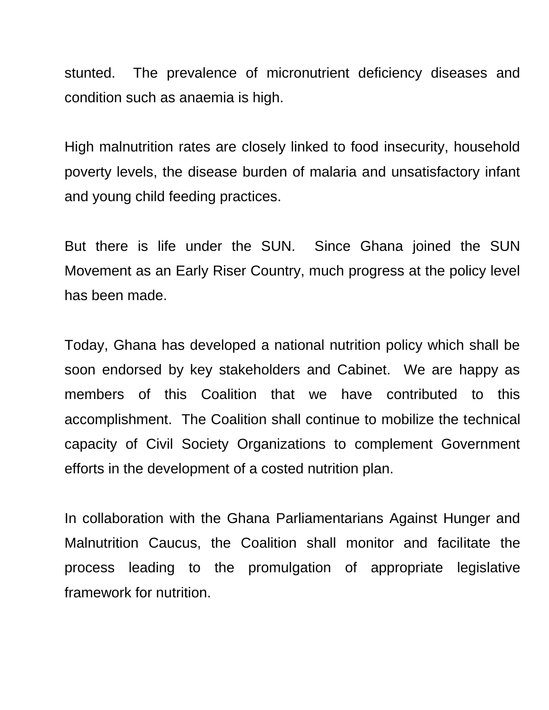stunted. The prevalence of micronutrient deficiency diseases and condition such as anaemia is high.

High malnutrition rates are closely linked to food insecurity, household poverty levels, the disease burden of malaria and unsatisfactory infant and young child feeding practices.

But there is life under the SUN. Since Ghana joined the SUN Movement as an Early Riser Country, much progress at the policy level has been made.

Today, Ghana has developed a national nutrition policy which shall be soon endorsed by key stakeholders and Cabinet. We are happy as members of this Coalition that we have contributed to this accomplishment. The Coalition shall continue to mobilize the technical capacity of Civil Society Organizations to complement Government efforts in the development of a costed nutrition plan.

In collaboration with the Ghana Parliamentarians Against Hunger and Malnutrition Caucus, the Coalition shall monitor and facilitate the process leading to the promulgation of appropriate legislative framework for nutrition.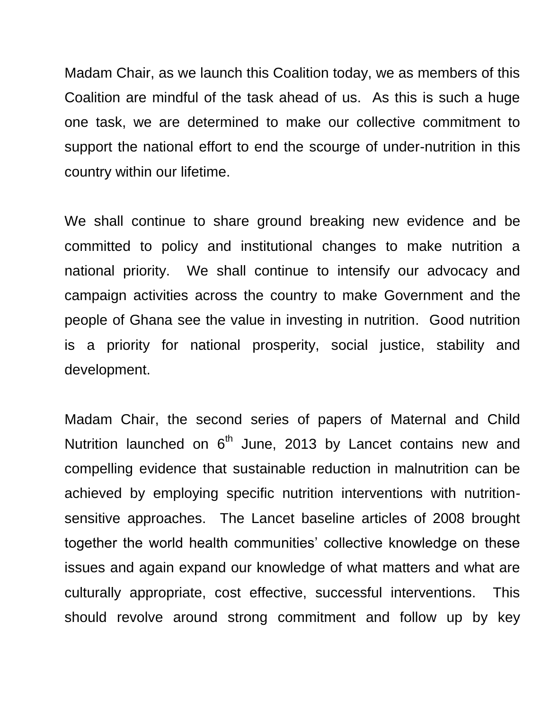Madam Chair, as we launch this Coalition today, we as members of this Coalition are mindful of the task ahead of us. As this is such a huge one task, we are determined to make our collective commitment to support the national effort to end the scourge of under-nutrition in this country within our lifetime.

We shall continue to share ground breaking new evidence and be committed to policy and institutional changes to make nutrition a national priority. We shall continue to intensify our advocacy and campaign activities across the country to make Government and the people of Ghana see the value in investing in nutrition. Good nutrition is a priority for national prosperity, social justice, stability and development.

Madam Chair, the second series of papers of Maternal and Child Nutrition launched on  $6<sup>th</sup>$  June, 2013 by Lancet contains new and compelling evidence that sustainable reduction in malnutrition can be achieved by employing specific nutrition interventions with nutritionsensitive approaches. The Lancet baseline articles of 2008 brought together the world health communities' collective knowledge on these issues and again expand our knowledge of what matters and what are culturally appropriate, cost effective, successful interventions. This should revolve around strong commitment and follow up by key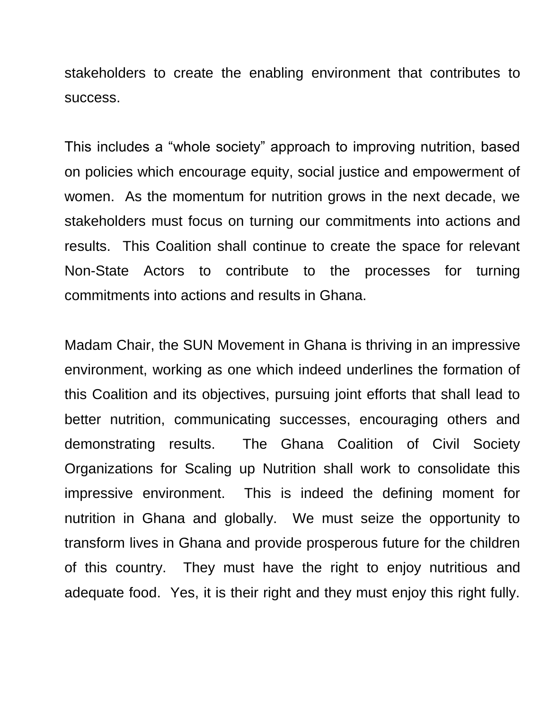stakeholders to create the enabling environment that contributes to success.

This includes a "whole society" approach to improving nutrition, based on policies which encourage equity, social justice and empowerment of women. As the momentum for nutrition grows in the next decade, we stakeholders must focus on turning our commitments into actions and results. This Coalition shall continue to create the space for relevant Non-State Actors to contribute to the processes for turning commitments into actions and results in Ghana.

Madam Chair, the SUN Movement in Ghana is thriving in an impressive environment, working as one which indeed underlines the formation of this Coalition and its objectives, pursuing joint efforts that shall lead to better nutrition, communicating successes, encouraging others and demonstrating results. The Ghana Coalition of Civil Society Organizations for Scaling up Nutrition shall work to consolidate this impressive environment. This is indeed the defining moment for nutrition in Ghana and globally. We must seize the opportunity to transform lives in Ghana and provide prosperous future for the children of this country. They must have the right to enjoy nutritious and adequate food. Yes, it is their right and they must enjoy this right fully.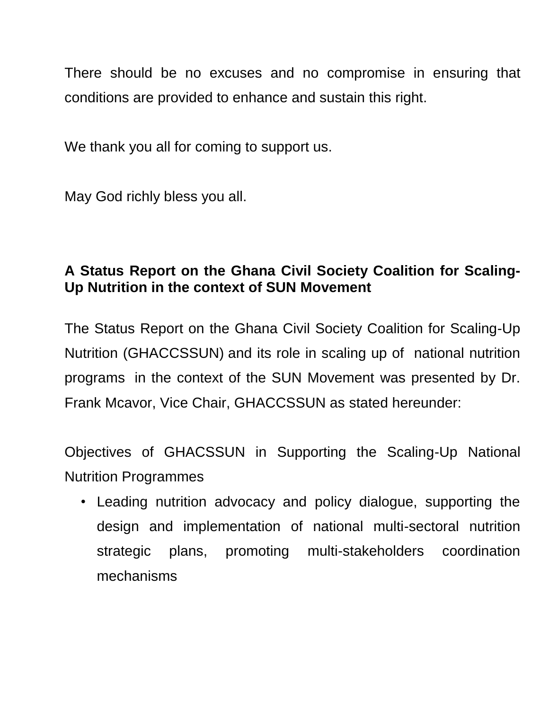There should be no excuses and no compromise in ensuring that conditions are provided to enhance and sustain this right.

We thank you all for coming to support us.

May God richly bless you all.

## **A Status Report on the Ghana Civil Society Coalition for Scaling-Up Nutrition in the context of SUN Movement**

The Status Report on the Ghana Civil Society Coalition for Scaling-Up Nutrition (GHACCSSUN) and its role in scaling up of national nutrition programs in the context of the SUN Movement was presented by Dr. Frank Mcavor, Vice Chair, GHACCSSUN as stated hereunder:

Objectives of GHACSSUN in Supporting the Scaling-Up National Nutrition Programmes

• Leading nutrition advocacy and policy dialogue, supporting the design and implementation of national multi-sectoral nutrition strategic plans, promoting multi-stakeholders coordination mechanisms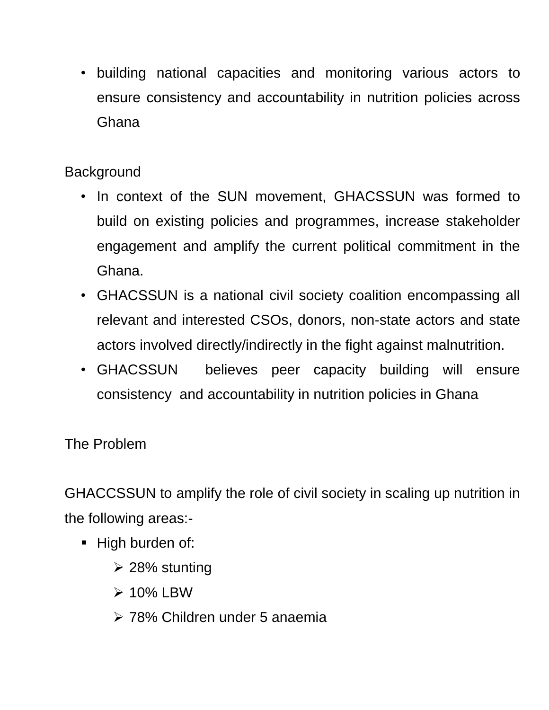• building national capacities and monitoring various actors to ensure consistency and accountability in nutrition policies across Ghana

## **Background**

- In context of the SUN movement, GHACSSUN was formed to build on existing policies and programmes, increase stakeholder engagement and amplify the current political commitment in the Ghana.
- GHACSSUN is a national civil society coalition encompassing all relevant and interested CSOs, donors, non-state actors and state actors involved directly/indirectly in the fight against malnutrition.
- GHACSSUN believes peer capacity building will ensure consistency and accountability in nutrition policies in Ghana

The Problem

GHACCSSUN to amplify the role of civil society in scaling up nutrition in the following areas:-

- **High burden of:** 
	- $\geq$  28% stunting
	- $\geq 10\%$  LBW
	- 78% Children under 5 anaemia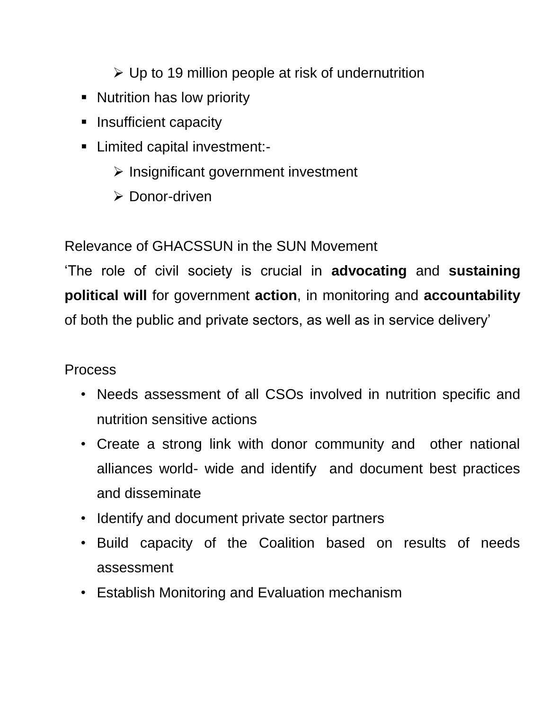$\triangleright$  Up to 19 million people at risk of undernutrition

- **Nutrition has low priority**
- **Insufficient capacity**
- Limited capital investment:-
	- $\triangleright$  Insignificant government investment
	- **► Donor-driven**

## Relevance of GHACSSUN in the SUN Movement

"The role of civil society is crucial in **advocating** and **sustaining political will** for government **action**, in monitoring and **accountability** of both the public and private sectors, as well as in service delivery"

## Process

- Needs assessment of all CSOs involved in nutrition specific and nutrition sensitive actions
- Create a strong link with donor community and other national alliances world- wide and identify and document best practices and disseminate
- Identify and document private sector partners
- Build capacity of the Coalition based on results of needs assessment
- Establish Monitoring and Evaluation mechanism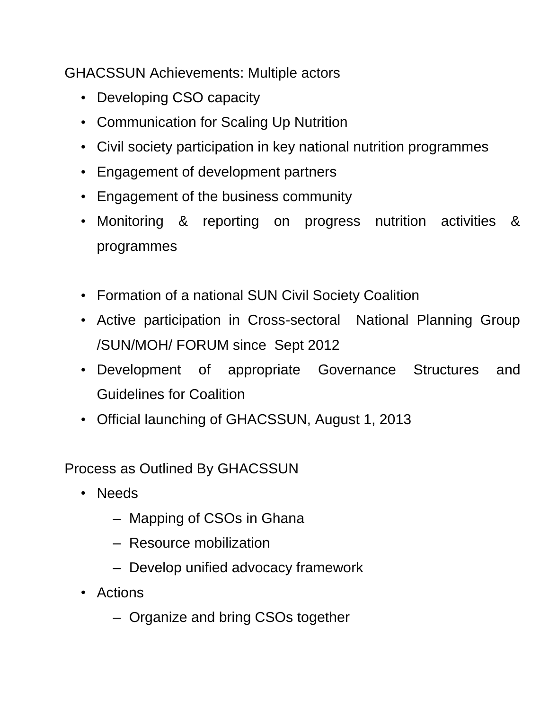GHACSSUN Achievements: Multiple actors

- Developing CSO capacity
- Communication for Scaling Up Nutrition
- Civil society participation in key national nutrition programmes
- Engagement of development partners
- Engagement of the business community
- Monitoring & reporting on progress nutrition activities & programmes
- Formation of a national SUN Civil Society Coalition
- Active participation in Cross-sectoral National Planning Group /SUN/MOH/ FORUM since Sept 2012
- Development of appropriate Governance Structures and Guidelines for Coalition
- Official launching of GHACSSUN, August 1, 2013

Process as Outlined By GHACSSUN

- Needs
	- Mapping of CSOs in Ghana
	- Resource mobilization
	- Develop unified advocacy framework
- Actions
	- Organize and bring CSOs together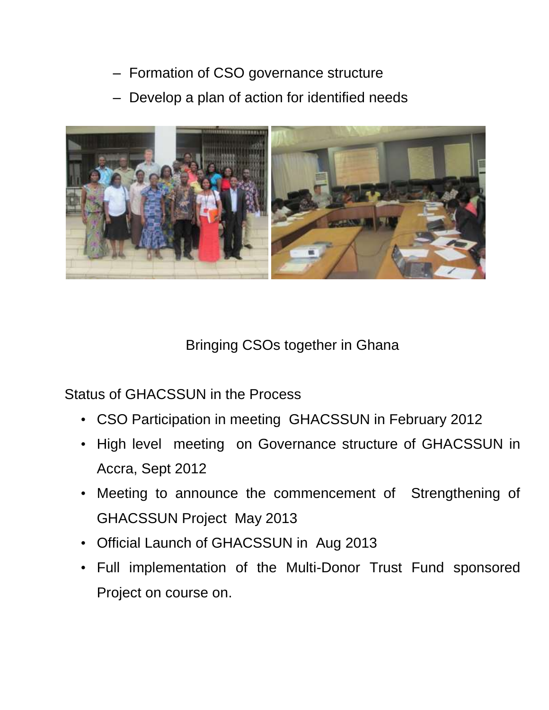- Formation of CSO governance structure
- Develop a plan of action for identified needs



## Bringing CSOs together in Ghana

Status of GHACSSUN in the Process

- CSO Participation in meeting GHACSSUN in February 2012
- High level meeting on Governance structure of GHACSSUN in Accra, Sept 2012
- Meeting to announce the commencement of Strengthening of GHACSSUN Project May 2013
- Official Launch of GHACSSUN in Aug 2013
- Full implementation of the Multi-Donor Trust Fund sponsored Project on course on.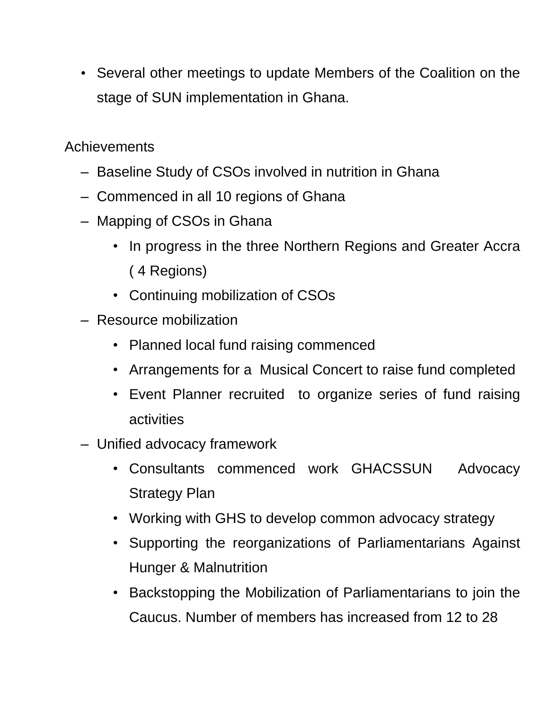• Several other meetings to update Members of the Coalition on the stage of SUN implementation in Ghana.

**Achievements** 

- Baseline Study of CSOs involved in nutrition in Ghana
- Commenced in all 10 regions of Ghana
- Mapping of CSOs in Ghana
	- In progress in the three Northern Regions and Greater Accra ( 4 Regions)
	- Continuing mobilization of CSOs
- Resource mobilization
	- Planned local fund raising commenced
	- Arrangements for a Musical Concert to raise fund completed
	- Event Planner recruited to organize series of fund raising activities
- Unified advocacy framework
	- Consultants commenced work GHACSSUN Advocacy Strategy Plan
	- Working with GHS to develop common advocacy strategy
	- Supporting the reorganizations of Parliamentarians Against Hunger & Malnutrition
	- Backstopping the Mobilization of Parliamentarians to join the Caucus. Number of members has increased from 12 to 28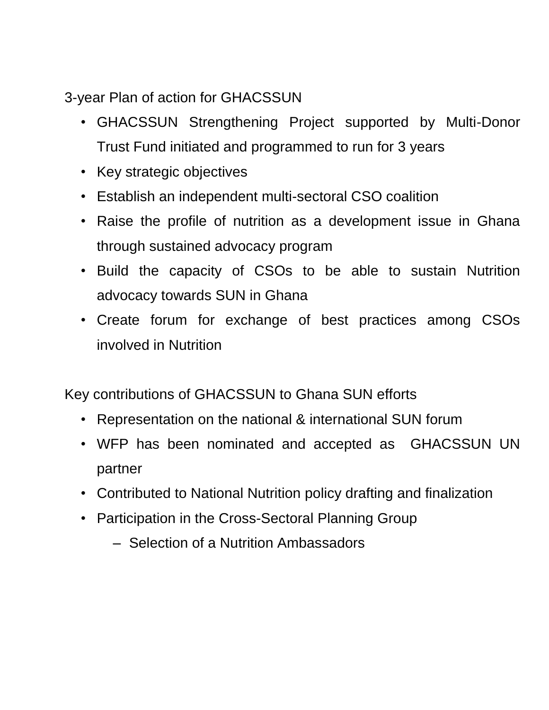3-year Plan of action for GHACSSUN

- GHACSSUN Strengthening Project supported by Multi-Donor Trust Fund initiated and programmed to run for 3 years
- Key strategic objectives
- Establish an independent multi-sectoral CSO coalition
- Raise the profile of nutrition as a development issue in Ghana through sustained advocacy program
- Build the capacity of CSOs to be able to sustain Nutrition advocacy towards SUN in Ghana
- Create forum for exchange of best practices among CSOs involved in Nutrition

Key contributions of GHACSSUN to Ghana SUN efforts

- Representation on the national & international SUN forum
- WFP has been nominated and accepted as GHACSSUN UN partner
- Contributed to National Nutrition policy drafting and finalization
- Participation in the Cross-Sectoral Planning Group
	- Selection of a Nutrition Ambassadors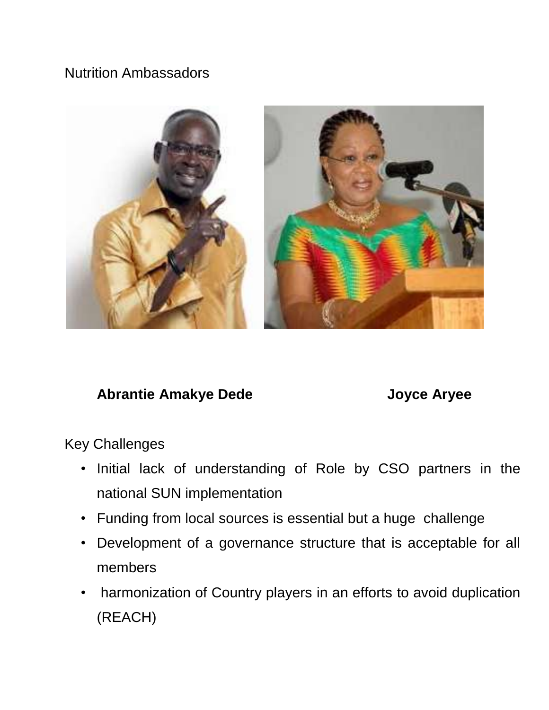## Nutrition Ambassadors



## Abrantie Amakye Dede **Joyce Aryee**

Key Challenges

- Initial lack of understanding of Role by CSO partners in the national SUN implementation
- Funding from local sources is essential but a huge challenge
- Development of a governance structure that is acceptable for all members
- harmonization of Country players in an efforts to avoid duplication (REACH)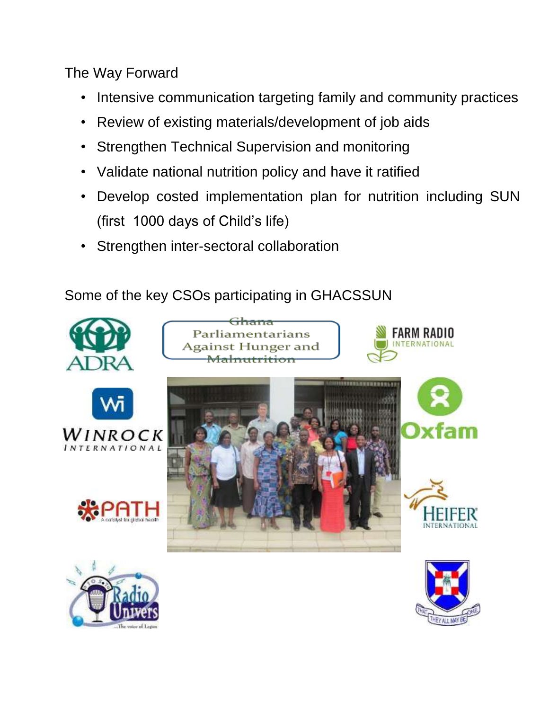The Way Forward

- Intensive communication targeting family and community practices
- Review of existing materials/development of job aids
- Strengthen Technical Supervision and monitoring
- Validate national nutrition policy and have it ratified
- Develop costed implementation plan for nutrition including SUN (first 1000 days of Child"s life)
- Strengthen inter-sectoral collaboration

Some of the key CSOs participating in GHACSSUN



















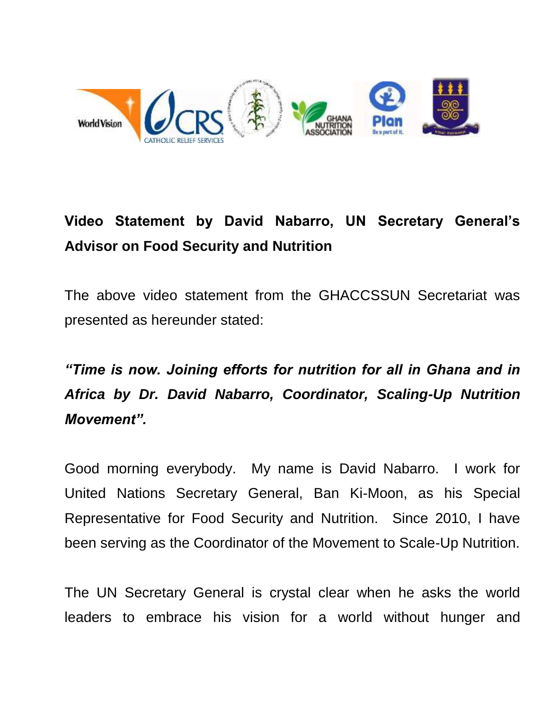

# **Video Statement by David Nabarro, UN Secretary General's Advisor on Food Security and Nutrition**

The above video statement from the GHACCSSUN Secretariat was presented as hereunder stated:

*"Time is now. Joining efforts for nutrition for all in Ghana and in Africa by Dr. David Nabarro, Coordinator, Scaling-Up Nutrition Movement".*

Good morning everybody. My name is David Nabarro. I work for United Nations Secretary General, Ban Ki-Moon, as his Special Representative for Food Security and Nutrition. Since 2010, I have been serving as the Coordinator of the Movement to Scale-Up Nutrition.

The UN Secretary General is crystal clear when he asks the world leaders to embrace his vision for a world without hunger and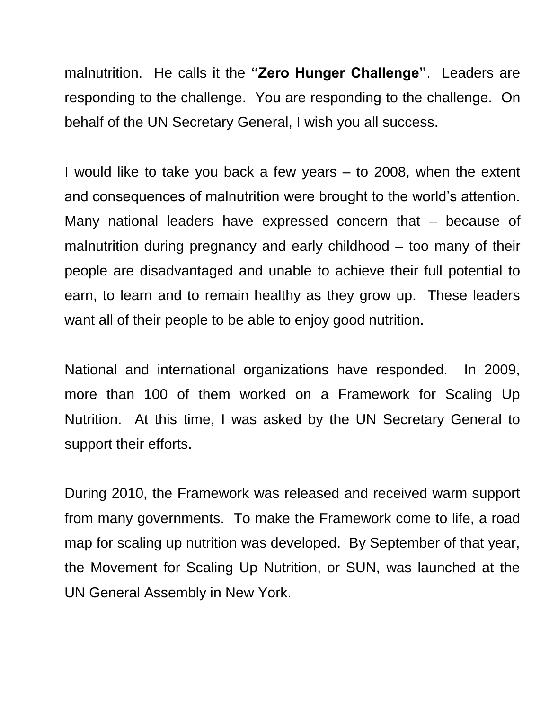malnutrition. He calls it the **"Zero Hunger Challenge"**. Leaders are responding to the challenge. You are responding to the challenge. On behalf of the UN Secretary General, I wish you all success.

I would like to take you back a few years – to 2008, when the extent and consequences of malnutrition were brought to the world"s attention. Many national leaders have expressed concern that – because of malnutrition during pregnancy and early childhood – too many of their people are disadvantaged and unable to achieve their full potential to earn, to learn and to remain healthy as they grow up. These leaders want all of their people to be able to enjoy good nutrition.

National and international organizations have responded. In 2009, more than 100 of them worked on a Framework for Scaling Up Nutrition. At this time, I was asked by the UN Secretary General to support their efforts.

During 2010, the Framework was released and received warm support from many governments. To make the Framework come to life, a road map for scaling up nutrition was developed. By September of that year, the Movement for Scaling Up Nutrition, or SUN, was launched at the UN General Assembly in New York.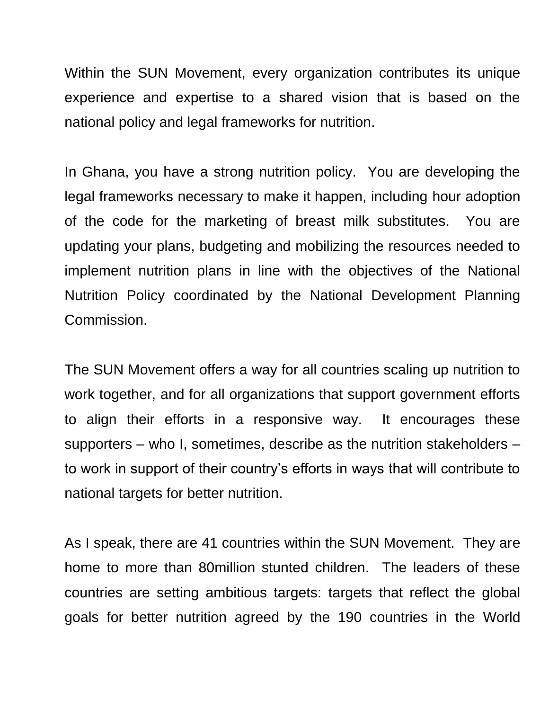Within the SUN Movement, every organization contributes its unique experience and expertise to a shared vision that is based on the national policy and legal frameworks for nutrition.

In Ghana, you have a strong nutrition policy. You are developing the legal frameworks necessary to make it happen, including hour adoption of the code for the marketing of breast milk substitutes. You are updating your plans, budgeting and mobilizing the resources needed to implement nutrition plans in line with the objectives of the National Nutrition Policy coordinated by the National Development Planning Commission.

The SUN Movement offers a way for all countries scaling up nutrition to work together, and for all organizations that support government efforts to align their efforts in a responsive way. It encourages these supporters – who I, sometimes, describe as the nutrition stakeholders – to work in support of their country"s efforts in ways that will contribute to national targets for better nutrition.

As I speak, there are 41 countries within the SUN Movement. They are home to more than 80million stunted children. The leaders of these countries are setting ambitious targets: targets that reflect the global goals for better nutrition agreed by the 190 countries in the World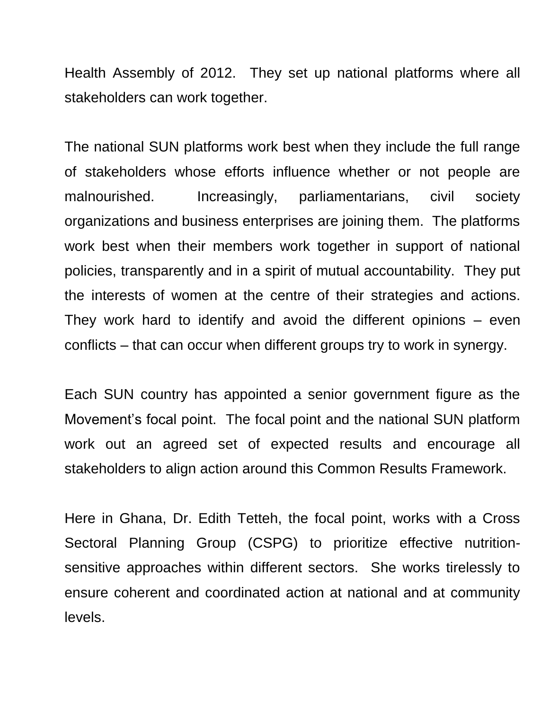Health Assembly of 2012. They set up national platforms where all stakeholders can work together.

The national SUN platforms work best when they include the full range of stakeholders whose efforts influence whether or not people are malnourished. Increasingly, parliamentarians, civil society organizations and business enterprises are joining them. The platforms work best when their members work together in support of national policies, transparently and in a spirit of mutual accountability. They put the interests of women at the centre of their strategies and actions. They work hard to identify and avoid the different opinions – even conflicts – that can occur when different groups try to work in synergy.

Each SUN country has appointed a senior government figure as the Movement"s focal point. The focal point and the national SUN platform work out an agreed set of expected results and encourage all stakeholders to align action around this Common Results Framework.

Here in Ghana, Dr. Edith Tetteh, the focal point, works with a Cross Sectoral Planning Group (CSPG) to prioritize effective nutritionsensitive approaches within different sectors. She works tirelessly to ensure coherent and coordinated action at national and at community levels.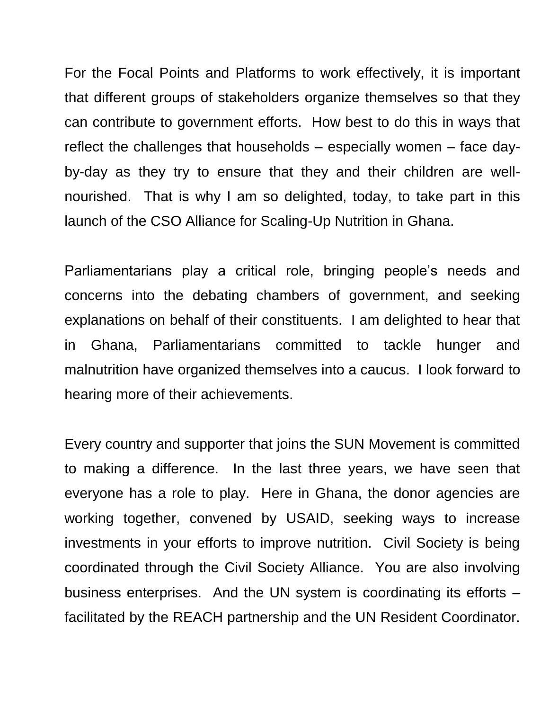For the Focal Points and Platforms to work effectively, it is important that different groups of stakeholders organize themselves so that they can contribute to government efforts. How best to do this in ways that reflect the challenges that households – especially women – face dayby-day as they try to ensure that they and their children are wellnourished. That is why I am so delighted, today, to take part in this launch of the CSO Alliance for Scaling-Up Nutrition in Ghana.

Parliamentarians play a critical role, bringing people"s needs and concerns into the debating chambers of government, and seeking explanations on behalf of their constituents. I am delighted to hear that in Ghana, Parliamentarians committed to tackle hunger and malnutrition have organized themselves into a caucus. I look forward to hearing more of their achievements.

Every country and supporter that joins the SUN Movement is committed to making a difference. In the last three years, we have seen that everyone has a role to play. Here in Ghana, the donor agencies are working together, convened by USAID, seeking ways to increase investments in your efforts to improve nutrition. Civil Society is being coordinated through the Civil Society Alliance. You are also involving business enterprises. And the UN system is coordinating its efforts – facilitated by the REACH partnership and the UN Resident Coordinator.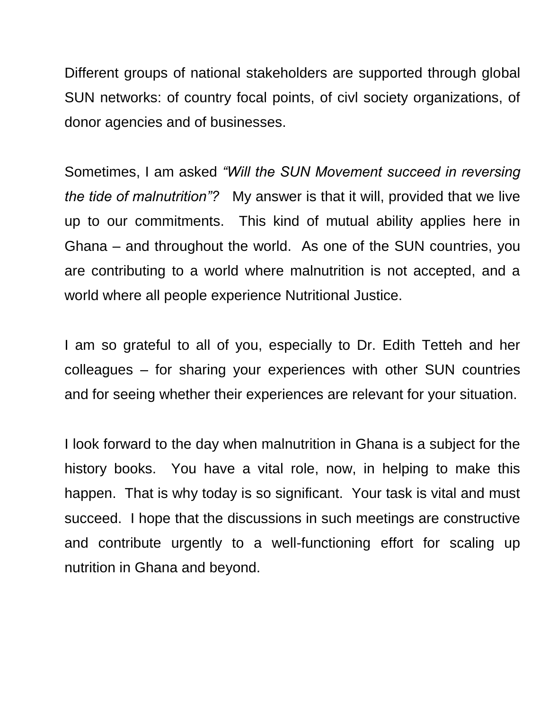Different groups of national stakeholders are supported through global SUN networks: of country focal points, of civl society organizations, of donor agencies and of businesses.

Sometimes, I am asked *"Will the SUN Movement succeed in reversing the tide of malnutrition"?* My answer is that it will, provided that we live up to our commitments. This kind of mutual ability applies here in Ghana – and throughout the world. As one of the SUN countries, you are contributing to a world where malnutrition is not accepted, and a world where all people experience Nutritional Justice.

I am so grateful to all of you, especially to Dr. Edith Tetteh and her colleagues – for sharing your experiences with other SUN countries and for seeing whether their experiences are relevant for your situation.

I look forward to the day when malnutrition in Ghana is a subject for the history books. You have a vital role, now, in helping to make this happen. That is why today is so significant. Your task is vital and must succeed. I hope that the discussions in such meetings are constructive and contribute urgently to a well-functioning effort for scaling up nutrition in Ghana and beyond.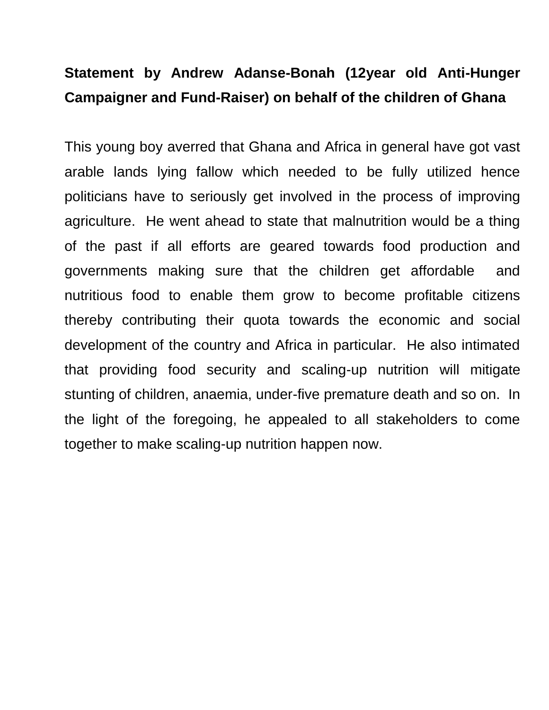# **Statement by Andrew Adanse-Bonah (12year old Anti-Hunger Campaigner and Fund-Raiser) on behalf of the children of Ghana**

This young boy averred that Ghana and Africa in general have got vast arable lands lying fallow which needed to be fully utilized hence politicians have to seriously get involved in the process of improving agriculture. He went ahead to state that malnutrition would be a thing of the past if all efforts are geared towards food production and governments making sure that the children get affordable and nutritious food to enable them grow to become profitable citizens thereby contributing their quota towards the economic and social development of the country and Africa in particular. He also intimated that providing food security and scaling-up nutrition will mitigate stunting of children, anaemia, under-five premature death and so on. In the light of the foregoing, he appealed to all stakeholders to come together to make scaling-up nutrition happen now.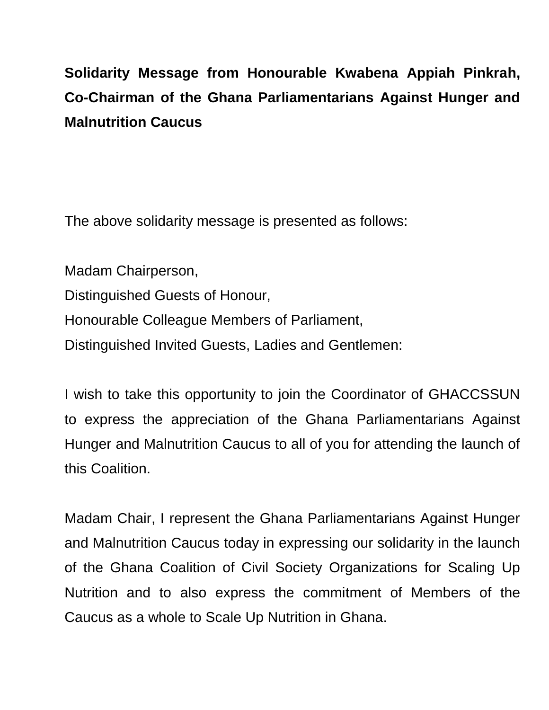# **Solidarity Message from Honourable Kwabena Appiah Pinkrah, Co-Chairman of the Ghana Parliamentarians Against Hunger and Malnutrition Caucus**

The above solidarity message is presented as follows:

Madam Chairperson, Distinguished Guests of Honour, Honourable Colleague Members of Parliament, Distinguished Invited Guests, Ladies and Gentlemen:

I wish to take this opportunity to join the Coordinator of GHACCSSUN to express the appreciation of the Ghana Parliamentarians Against Hunger and Malnutrition Caucus to all of you for attending the launch of this Coalition.

Madam Chair, I represent the Ghana Parliamentarians Against Hunger and Malnutrition Caucus today in expressing our solidarity in the launch of the Ghana Coalition of Civil Society Organizations for Scaling Up Nutrition and to also express the commitment of Members of the Caucus as a whole to Scale Up Nutrition in Ghana.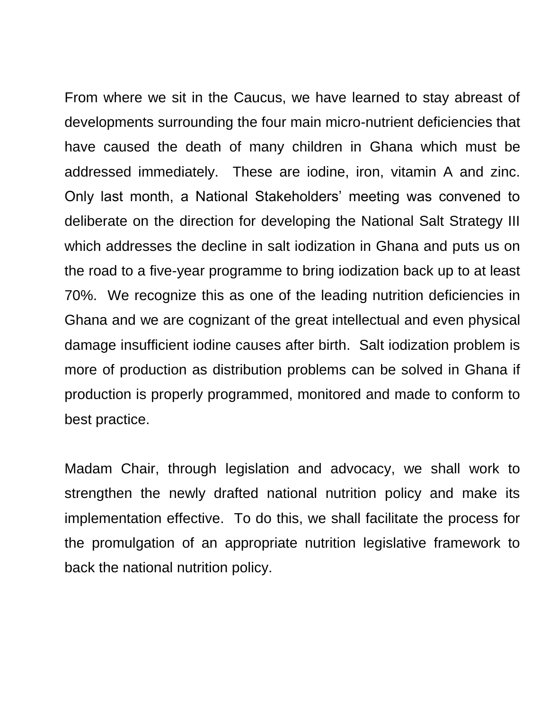From where we sit in the Caucus, we have learned to stay abreast of developments surrounding the four main micro-nutrient deficiencies that have caused the death of many children in Ghana which must be addressed immediately. These are iodine, iron, vitamin A and zinc. Only last month, a National Stakeholders" meeting was convened to deliberate on the direction for developing the National Salt Strategy III which addresses the decline in salt iodization in Ghana and puts us on the road to a five-year programme to bring iodization back up to at least 70%. We recognize this as one of the leading nutrition deficiencies in Ghana and we are cognizant of the great intellectual and even physical damage insufficient iodine causes after birth. Salt iodization problem is more of production as distribution problems can be solved in Ghana if production is properly programmed, monitored and made to conform to best practice.

Madam Chair, through legislation and advocacy, we shall work to strengthen the newly drafted national nutrition policy and make its implementation effective. To do this, we shall facilitate the process for the promulgation of an appropriate nutrition legislative framework to back the national nutrition policy.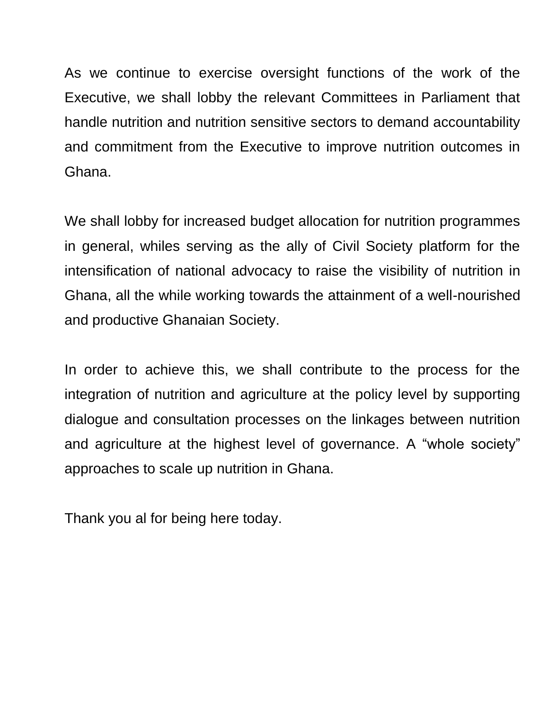As we continue to exercise oversight functions of the work of the Executive, we shall lobby the relevant Committees in Parliament that handle nutrition and nutrition sensitive sectors to demand accountability and commitment from the Executive to improve nutrition outcomes in Ghana.

We shall lobby for increased budget allocation for nutrition programmes in general, whiles serving as the ally of Civil Society platform for the intensification of national advocacy to raise the visibility of nutrition in Ghana, all the while working towards the attainment of a well-nourished and productive Ghanaian Society.

In order to achieve this, we shall contribute to the process for the integration of nutrition and agriculture at the policy level by supporting dialogue and consultation processes on the linkages between nutrition and agriculture at the highest level of governance. A "whole society" approaches to scale up nutrition in Ghana.

Thank you al for being here today.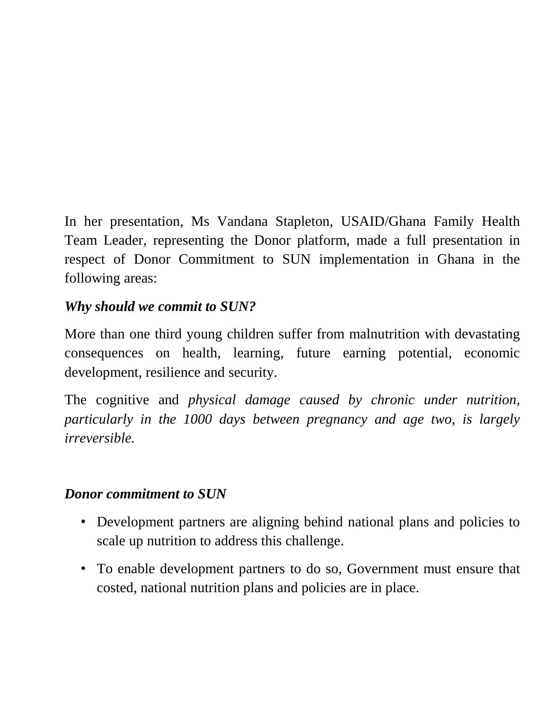In her presentation, Ms Vandana Stapleton, USAID/Ghana Family Health Team Leader, representing the Donor platform, made a full presentation in respect of Donor Commitment to SUN implementation in Ghana in the following areas:

## *Why should we commit to SUN?*

More than one third young children suffer from malnutrition with devastating consequences on health, learning, future earning potential, economic development, resilience and security.

The cognitive and *physical damage caused by chronic under nutrition, particularly in the 1000 days between pregnancy and age two, is largely irreversible.*

## *Donor commitment to SUN*

- Development partners are aligning behind national plans and policies to scale up nutrition to address this challenge.
- To enable development partners to do so, Government must ensure that costed, national nutrition plans and policies are in place.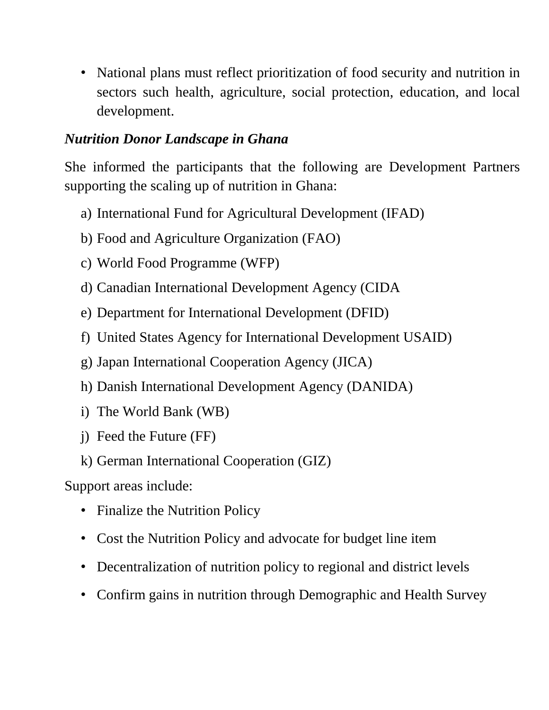• National plans must reflect prioritization of food security and nutrition in sectors such health, agriculture, social protection, education, and local development.

#### *Nutrition Donor Landscape in Ghana*

She informed the participants that the following are Development Partners supporting the scaling up of nutrition in Ghana:

- a) International Fund for Agricultural Development (IFAD)
- b) Food and Agriculture Organization (FAO)
- c) World Food Programme (WFP)
- d) Canadian International Development Agency (CIDA
- e) Department for International Development (DFID)
- f) United States Agency for International Development USAID)
- g) Japan International Cooperation Agency (JICA)
- h) Danish International Development Agency (DANIDA)
- i) The World Bank (WB)
- j) Feed the Future (FF)
- k) German International Cooperation (GIZ)

Support areas include:

- Finalize the Nutrition Policy
- Cost the Nutrition Policy and advocate for budget line item
- Decentralization of nutrition policy to regional and district levels
- Confirm gains in nutrition through Demographic and Health Survey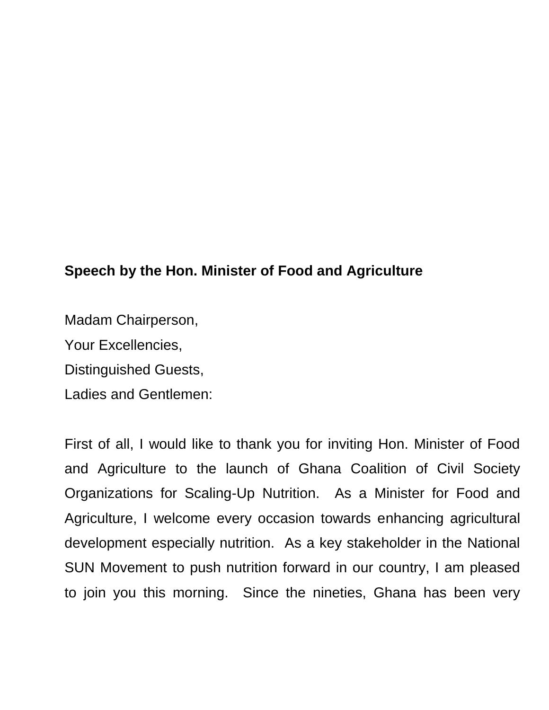## **Speech by the Hon. Minister of Food and Agriculture**

Madam Chairperson,

Your Excellencies,

Distinguished Guests,

Ladies and Gentlemen:

First of all, I would like to thank you for inviting Hon. Minister of Food and Agriculture to the launch of Ghana Coalition of Civil Society Organizations for Scaling-Up Nutrition. As a Minister for Food and Agriculture, I welcome every occasion towards enhancing agricultural development especially nutrition. As a key stakeholder in the National SUN Movement to push nutrition forward in our country, I am pleased to join you this morning. Since the nineties, Ghana has been very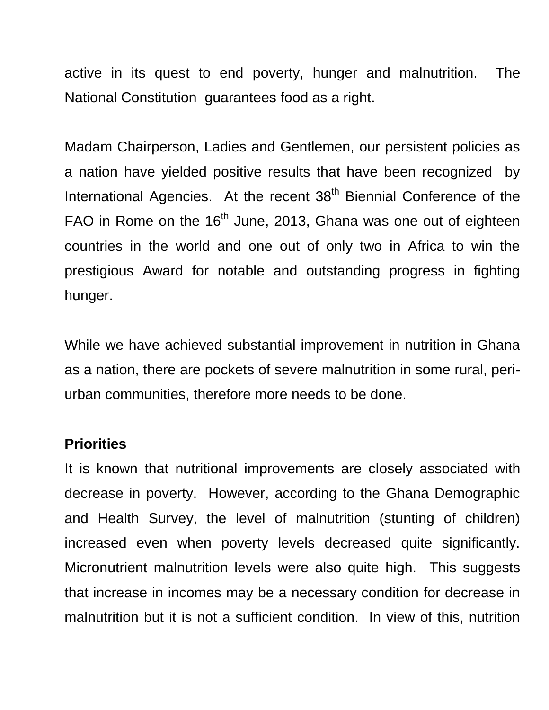active in its quest to end poverty, hunger and malnutrition. The National Constitution guarantees food as a right.

Madam Chairperson, Ladies and Gentlemen, our persistent policies as a nation have yielded positive results that have been recognized by International Agencies. At the recent 38<sup>th</sup> Biennial Conference of the FAO in Rome on the 16<sup>th</sup> June, 2013, Ghana was one out of eighteen countries in the world and one out of only two in Africa to win the prestigious Award for notable and outstanding progress in fighting hunger.

While we have achieved substantial improvement in nutrition in Ghana as a nation, there are pockets of severe malnutrition in some rural, periurban communities, therefore more needs to be done.

#### **Priorities**

It is known that nutritional improvements are closely associated with decrease in poverty. However, according to the Ghana Demographic and Health Survey, the level of malnutrition (stunting of children) increased even when poverty levels decreased quite significantly. Micronutrient malnutrition levels were also quite high. This suggests that increase in incomes may be a necessary condition for decrease in malnutrition but it is not a sufficient condition. In view of this, nutrition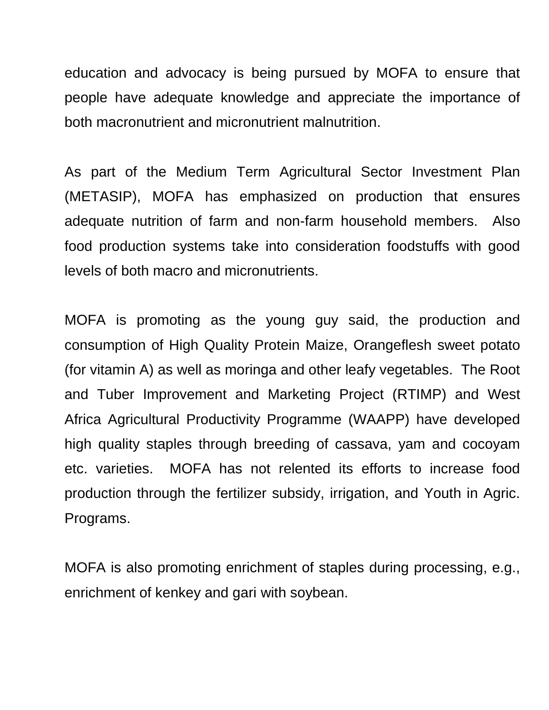education and advocacy is being pursued by MOFA to ensure that people have adequate knowledge and appreciate the importance of both macronutrient and micronutrient malnutrition.

As part of the Medium Term Agricultural Sector Investment Plan (METASIP), MOFA has emphasized on production that ensures adequate nutrition of farm and non-farm household members. Also food production systems take into consideration foodstuffs with good levels of both macro and micronutrients.

MOFA is promoting as the young guy said, the production and consumption of High Quality Protein Maize, Orangeflesh sweet potato (for vitamin A) as well as moringa and other leafy vegetables. The Root and Tuber Improvement and Marketing Project (RTIMP) and West Africa Agricultural Productivity Programme (WAAPP) have developed high quality staples through breeding of cassava, yam and cocoyam etc. varieties. MOFA has not relented its efforts to increase food production through the fertilizer subsidy, irrigation, and Youth in Agric. Programs.

MOFA is also promoting enrichment of staples during processing, e.g., enrichment of kenkey and gari with soybean.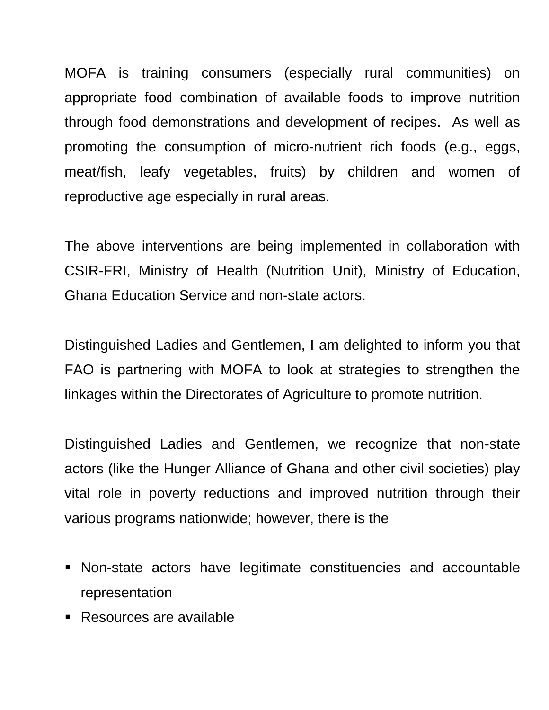MOFA is training consumers (especially rural communities) on appropriate food combination of available foods to improve nutrition through food demonstrations and development of recipes. As well as promoting the consumption of micro-nutrient rich foods (e.g., eggs, meat/fish, leafy vegetables, fruits) by children and women of reproductive age especially in rural areas.

The above interventions are being implemented in collaboration with CSIR-FRI, Ministry of Health (Nutrition Unit), Ministry of Education, Ghana Education Service and non-state actors.

Distinguished Ladies and Gentlemen, I am delighted to inform you that FAO is partnering with MOFA to look at strategies to strengthen the linkages within the Directorates of Agriculture to promote nutrition.

Distinguished Ladies and Gentlemen, we recognize that non-state actors (like the Hunger Alliance of Ghana and other civil societies) play vital role in poverty reductions and improved nutrition through their various programs nationwide; however, there is the

- Non-state actors have legitimate constituencies and accountable representation
- **Resources are available**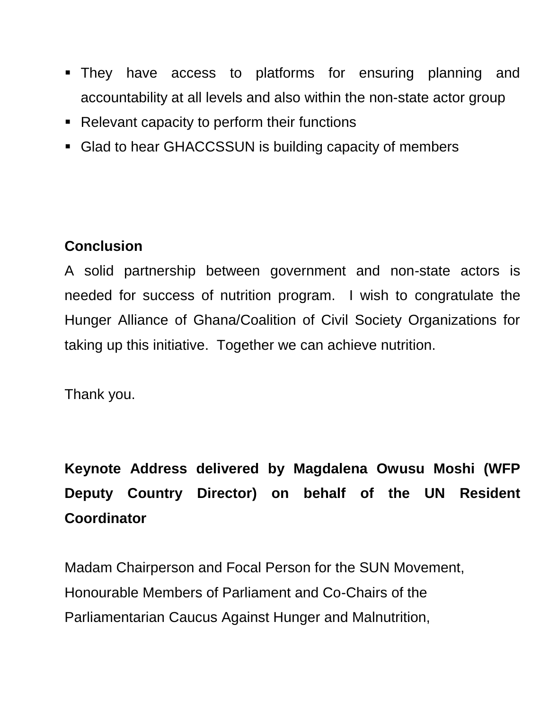- They have access to platforms for ensuring planning and accountability at all levels and also within the non-state actor group
- Relevant capacity to perform their functions
- Glad to hear GHACCSSUN is building capacity of members

## **Conclusion**

A solid partnership between government and non-state actors is needed for success of nutrition program. I wish to congratulate the Hunger Alliance of Ghana/Coalition of Civil Society Organizations for taking up this initiative. Together we can achieve nutrition.

Thank you.

**Keynote Address delivered by Magdalena Owusu Moshi (WFP Deputy Country Director) on behalf of the UN Resident Coordinator**

Madam Chairperson and Focal Person for the SUN Movement, Honourable Members of Parliament and Co-Chairs of the Parliamentarian Caucus Against Hunger and Malnutrition,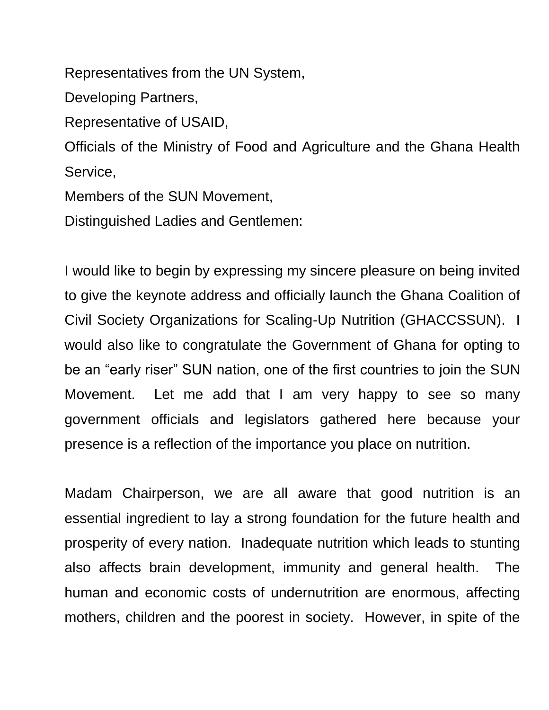Representatives from the UN System,

Developing Partners,

Representative of USAID,

Officials of the Ministry of Food and Agriculture and the Ghana Health Service,

Members of the SUN Movement,

Distinguished Ladies and Gentlemen:

I would like to begin by expressing my sincere pleasure on being invited to give the keynote address and officially launch the Ghana Coalition of Civil Society Organizations for Scaling-Up Nutrition (GHACCSSUN). I would also like to congratulate the Government of Ghana for opting to be an "early riser" SUN nation, one of the first countries to join the SUN Movement. Let me add that I am very happy to see so many government officials and legislators gathered here because your presence is a reflection of the importance you place on nutrition.

Madam Chairperson, we are all aware that good nutrition is an essential ingredient to lay a strong foundation for the future health and prosperity of every nation. Inadequate nutrition which leads to stunting also affects brain development, immunity and general health. The human and economic costs of undernutrition are enormous, affecting mothers, children and the poorest in society. However, in spite of the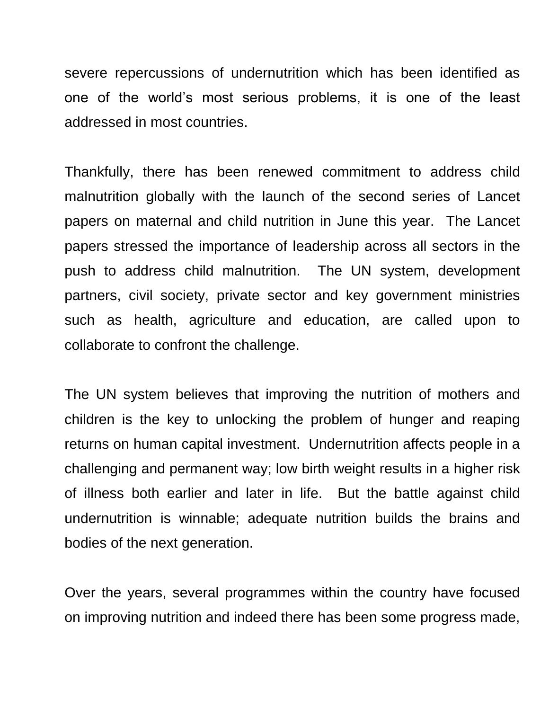severe repercussions of undernutrition which has been identified as one of the world"s most serious problems, it is one of the least addressed in most countries.

Thankfully, there has been renewed commitment to address child malnutrition globally with the launch of the second series of Lancet papers on maternal and child nutrition in June this year. The Lancet papers stressed the importance of leadership across all sectors in the push to address child malnutrition. The UN system, development partners, civil society, private sector and key government ministries such as health, agriculture and education, are called upon to collaborate to confront the challenge.

The UN system believes that improving the nutrition of mothers and children is the key to unlocking the problem of hunger and reaping returns on human capital investment. Undernutrition affects people in a challenging and permanent way; low birth weight results in a higher risk of illness both earlier and later in life. But the battle against child undernutrition is winnable; adequate nutrition builds the brains and bodies of the next generation.

Over the years, several programmes within the country have focused on improving nutrition and indeed there has been some progress made,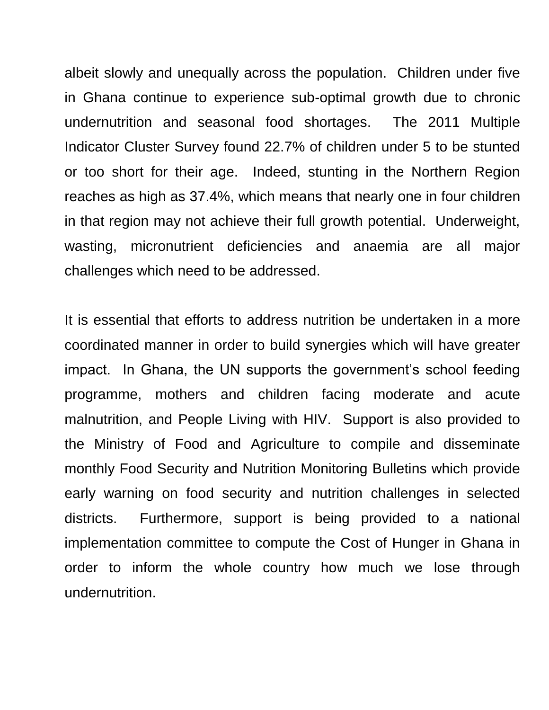albeit slowly and unequally across the population. Children under five in Ghana continue to experience sub-optimal growth due to chronic undernutrition and seasonal food shortages. The 2011 Multiple Indicator Cluster Survey found 22.7% of children under 5 to be stunted or too short for their age. Indeed, stunting in the Northern Region reaches as high as 37.4%, which means that nearly one in four children in that region may not achieve their full growth potential. Underweight, wasting, micronutrient deficiencies and anaemia are all major challenges which need to be addressed.

It is essential that efforts to address nutrition be undertaken in a more coordinated manner in order to build synergies which will have greater impact. In Ghana, the UN supports the government's school feeding programme, mothers and children facing moderate and acute malnutrition, and People Living with HIV. Support is also provided to the Ministry of Food and Agriculture to compile and disseminate monthly Food Security and Nutrition Monitoring Bulletins which provide early warning on food security and nutrition challenges in selected districts. Furthermore, support is being provided to a national implementation committee to compute the Cost of Hunger in Ghana in order to inform the whole country how much we lose through undernutrition.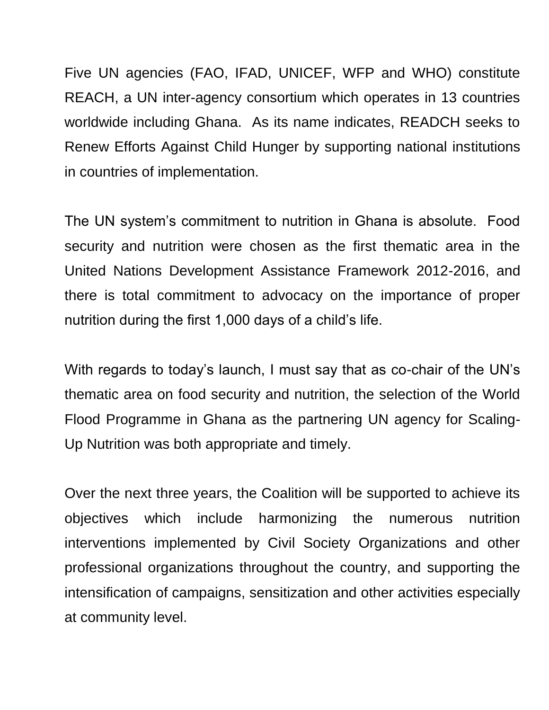Five UN agencies (FAO, IFAD, UNICEF, WFP and WHO) constitute REACH, a UN inter-agency consortium which operates in 13 countries worldwide including Ghana. As its name indicates, READCH seeks to Renew Efforts Against Child Hunger by supporting national institutions in countries of implementation.

The UN system"s commitment to nutrition in Ghana is absolute. Food security and nutrition were chosen as the first thematic area in the United Nations Development Assistance Framework 2012-2016, and there is total commitment to advocacy on the importance of proper nutrition during the first 1,000 days of a child's life.

With regards to today's launch, I must say that as co-chair of the UN's thematic area on food security and nutrition, the selection of the World Flood Programme in Ghana as the partnering UN agency for Scaling-Up Nutrition was both appropriate and timely.

Over the next three years, the Coalition will be supported to achieve its objectives which include harmonizing the numerous nutrition interventions implemented by Civil Society Organizations and other professional organizations throughout the country, and supporting the intensification of campaigns, sensitization and other activities especially at community level.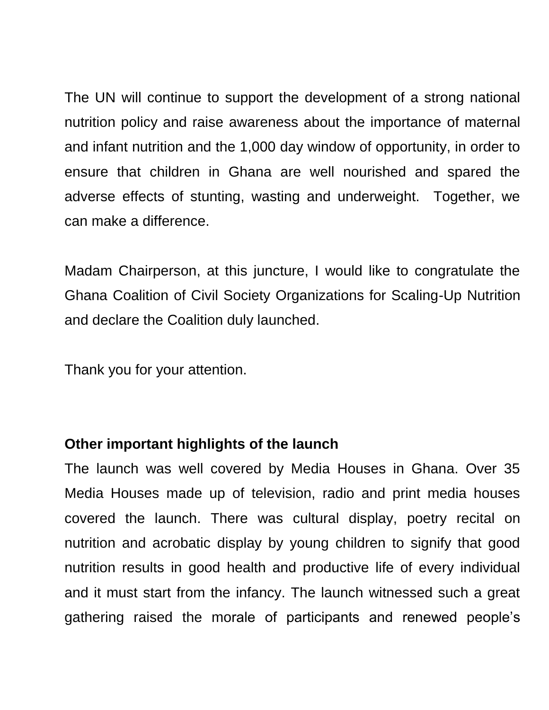The UN will continue to support the development of a strong national nutrition policy and raise awareness about the importance of maternal and infant nutrition and the 1,000 day window of opportunity, in order to ensure that children in Ghana are well nourished and spared the adverse effects of stunting, wasting and underweight. Together, we can make a difference.

Madam Chairperson, at this juncture, I would like to congratulate the Ghana Coalition of Civil Society Organizations for Scaling-Up Nutrition and declare the Coalition duly launched.

Thank you for your attention.

#### **Other important highlights of the launch**

The launch was well covered by Media Houses in Ghana. Over 35 Media Houses made up of television, radio and print media houses covered the launch. There was cultural display, poetry recital on nutrition and acrobatic display by young children to signify that good nutrition results in good health and productive life of every individual and it must start from the infancy. The launch witnessed such a great gathering raised the morale of participants and renewed people"s